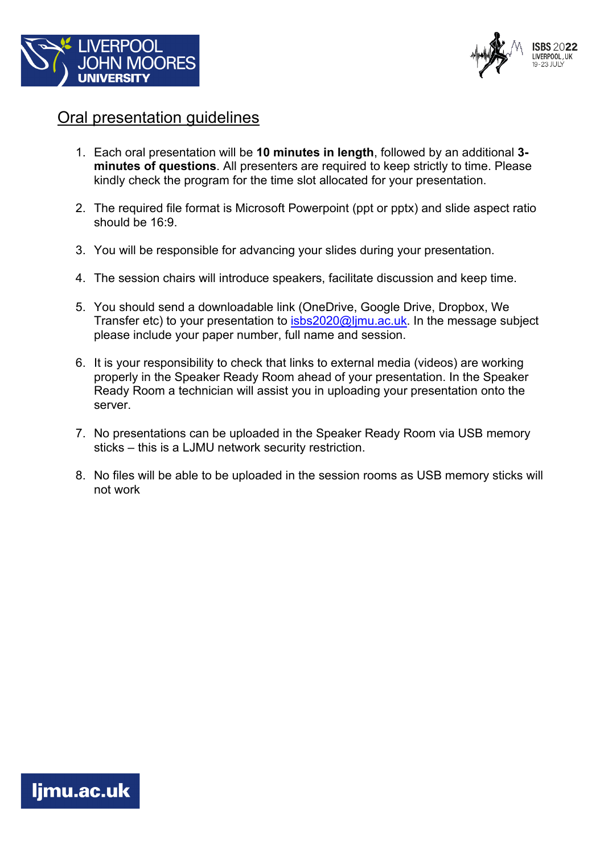



## Oral presentation guidelines

- 1. Each oral presentation will be **10 minutes in length**, followed by an additional **3 minutes of questions**. All presenters are required to keep strictly to time. Please kindly check the program for the time slot allocated for your presentation.
- 2. The required file format is Microsoft Powerpoint (ppt or pptx) and slide aspect ratio should be 16:9.
- 3. You will be responsible for advancing your slides during your presentation.
- 4. The session chairs will introduce speakers, facilitate discussion and keep time.
- 5. You should send a downloadable link (OneDrive, Google Drive, Dropbox, We Transfer etc) to your presentation to isbs2020@limu.ac.uk. In the message subject please include your paper number, full name and session.
- 6. It is your responsibility to check that links to external media (videos) are working properly in the Speaker Ready Room ahead of your presentation. In the Speaker Ready Room a technician will assist you in uploading your presentation onto the server.
- 7. No presentations can be uploaded in the Speaker Ready Room via USB memory sticks – this is a LJMU network security restriction.
- 8. No files will be able to be uploaded in the session rooms as USB memory sticks will not work